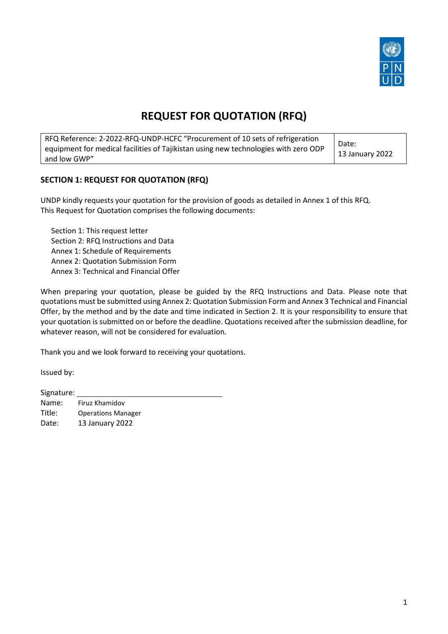

# **REQUEST FOR QUOTATION (RFQ)**

| RFQ Reference: 2-2022-RFQ-UNDP-HCFC "Procurement of 10 sets of refrigeration<br>equipment for medical facilities of Tajikistan using new technologies with zero ODP<br>and low GWP" | Date:<br>13 January 2022 |
|-------------------------------------------------------------------------------------------------------------------------------------------------------------------------------------|--------------------------|
|-------------------------------------------------------------------------------------------------------------------------------------------------------------------------------------|--------------------------|

## **SECTION 1: REQUEST FOR QUOTATION (RFQ)**

UNDP kindly requests your quotation for the provision of goods as detailed in Annex 1 of this RFQ. This Request for Quotation comprises the following documents:

Section 1: This request letter Section 2: RFQ Instructions and Data Annex 1: Schedule of Requirements Annex 2: Quotation Submission Form Annex 3: Technical and Financial Offer

When preparing your quotation, please be guided by the RFQ Instructions and Data. Please note that quotations must be submitted using Annex 2: Quotation Submission Form and Annex 3 Technical and Financial Offer, by the method and by the date and time indicated in Section 2. It is your responsibility to ensure that your quotation is submitted on or before the deadline. Quotations received after the submission deadline, for whatever reason, will not be considered for evaluation.

Thank you and we look forward to receiving your quotations.

Issued by:

Signature:

Name: Firuz Khamidov Title: Operations Manager Date: 13 January 2022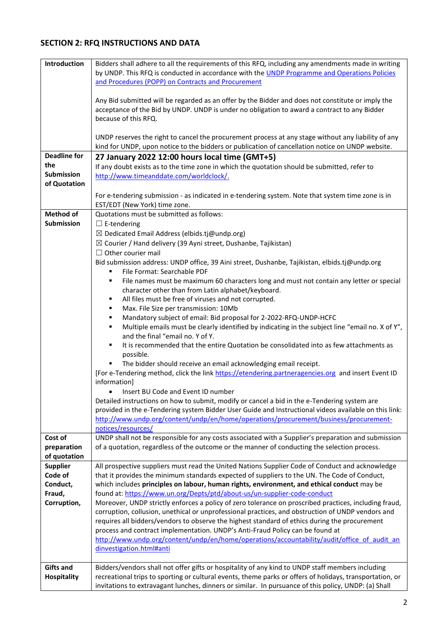# **SECTION 2: RFQ INSTRUCTIONS AND DATA**

| Introduction                | Bidders shall adhere to all the requirements of this RFQ, including any amendments made in writing<br>by UNDP. This RFQ is conducted in accordance with the UNDP Programme and Operations Policies                        |
|-----------------------------|---------------------------------------------------------------------------------------------------------------------------------------------------------------------------------------------------------------------------|
|                             | and Procedures (POPP) on Contracts and Procurement                                                                                                                                                                        |
|                             | Any Bid submitted will be regarded as an offer by the Bidder and does not constitute or imply the<br>acceptance of the Bid by UNDP. UNDP is under no obligation to award a contract to any Bidder<br>because of this RFQ. |
|                             | UNDP reserves the right to cancel the procurement process at any stage without any liability of any<br>kind for UNDP, upon notice to the bidders or publication of cancellation notice on UNDP website.                   |
| <b>Deadline for</b>         | 27 January 2022 12:00 hours local time (GMT+5)                                                                                                                                                                            |
| the<br>Submission           | If any doubt exists as to the time zone in which the quotation should be submitted, refer to                                                                                                                              |
| of Quotation                | http://www.timeanddate.com/worldclock/.                                                                                                                                                                                   |
|                             | For e-tendering submission - as indicated in e-tendering system. Note that system time zone is in<br>EST/EDT (New York) time zone.                                                                                        |
| <b>Method of</b>            | Quotations must be submitted as follows:                                                                                                                                                                                  |
| <b>Submission</b>           | $\Box$ E-tendering                                                                                                                                                                                                        |
|                             | $\boxtimes$ Dedicated Email Address (elbids.tj@undp.org)                                                                                                                                                                  |
|                             | $\boxtimes$ Courier / Hand delivery (39 Ayni street, Dushanbe, Tajikistan)<br>$\Box$ Other courier mail                                                                                                                   |
|                             | Bid submission address: UNDP office, 39 Aini street, Dushanbe, Tajikistan, elbids.tj@undp.org<br>File Format: Searchable PDF<br>٠                                                                                         |
|                             | File names must be maximum 60 characters long and must not contain any letter or special<br>٠<br>character other than from Latin alphabet/keyboard.                                                                       |
|                             | All files must be free of viruses and not corrupted.<br>٠                                                                                                                                                                 |
|                             | Max. File Size per transmission: 10Mb<br>٠                                                                                                                                                                                |
|                             | Mandatory subject of email: Bid proposal for 2-2022-RFQ-UNDP-HCFC<br>٠<br>Multiple emails must be clearly identified by indicating in the subject line "email no. X of Y",<br>٠                                           |
|                             | and the final "email no. Y of Y.                                                                                                                                                                                          |
|                             | It is recommended that the entire Quotation be consolidated into as few attachments as<br>٠<br>possible.                                                                                                                  |
|                             | The bidder should receive an email acknowledging email receipt.<br>٠                                                                                                                                                      |
|                             | [For e-Tendering method, click the link https://etendering.partneragencies.org and insert Event ID<br>information]                                                                                                        |
|                             | Insert BU Code and Event ID number                                                                                                                                                                                        |
|                             | Detailed instructions on how to submit, modify or cancel a bid in the e-Tendering system are<br>provided in the e-Tendering system Bidder User Guide and Instructional videos available on this link:                     |
|                             | http://www.undp.org/content/undp/en/home/operations/procurement/business/procurement-                                                                                                                                     |
|                             | notices/resources/                                                                                                                                                                                                        |
| Cost of                     | UNDP shall not be responsible for any costs associated with a Supplier's preparation and submission                                                                                                                       |
| preparation<br>of quotation | of a quotation, regardless of the outcome or the manner of conducting the selection process.                                                                                                                              |
| <b>Supplier</b>             | All prospective suppliers must read the United Nations Supplier Code of Conduct and acknowledge                                                                                                                           |
| Code of                     | that it provides the minimum standards expected of suppliers to the UN. The Code of Conduct,                                                                                                                              |
| Conduct,                    | which includes principles on labour, human rights, environment, and ethical conduct may be                                                                                                                                |
| Fraud,                      | found at: https://www.un.org/Depts/ptd/about-us/un-supplier-code-conduct                                                                                                                                                  |
| Corruption,                 | Moreover, UNDP strictly enforces a policy of zero tolerance on proscribed practices, including fraud,<br>corruption, collusion, unethical or unprofessional practices, and obstruction of UNDP vendors and                |
|                             | requires all bidders/vendors to observe the highest standard of ethics during the procurement                                                                                                                             |
|                             | process and contract implementation. UNDP's Anti-Fraud Policy can be found at                                                                                                                                             |
|                             | http://www.undp.org/content/undp/en/home/operations/accountability/audit/office of audit an<br>dinvestigation.html#anti                                                                                                   |
| <b>Gifts and</b>            | Bidders/vendors shall not offer gifts or hospitality of any kind to UNDP staff members including                                                                                                                          |
| <b>Hospitality</b>          | recreational trips to sporting or cultural events, theme parks or offers of holidays, transportation, or<br>invitations to extravagant lunches, dinners or similar. In pursuance of this policy, UNDP: (a) Shall          |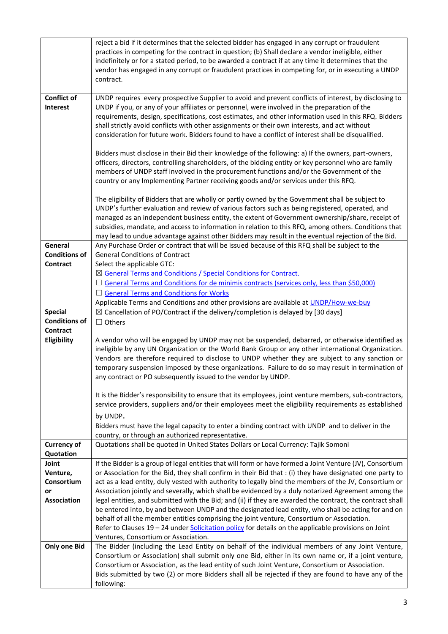|                                  | reject a bid if it determines that the selected bidder has engaged in any corrupt or fraudulent           |
|----------------------------------|-----------------------------------------------------------------------------------------------------------|
|                                  | practices in competing for the contract in question; (b) Shall declare a vendor ineligible, either        |
|                                  | indefinitely or for a stated period, to be awarded a contract if at any time it determines that the       |
|                                  | vendor has engaged in any corrupt or fraudulent practices in competing for, or in executing a UNDP        |
|                                  | contract.                                                                                                 |
| <b>Conflict of</b>               | UNDP requires every prospective Supplier to avoid and prevent conflicts of interest, by disclosing to     |
| <b>Interest</b>                  | UNDP if you, or any of your affiliates or personnel, were involved in the preparation of the              |
|                                  | requirements, design, specifications, cost estimates, and other information used in this RFQ. Bidders     |
|                                  | shall strictly avoid conflicts with other assignments or their own interests, and act without             |
|                                  | consideration for future work. Bidders found to have a conflict of interest shall be disqualified.        |
|                                  |                                                                                                           |
|                                  | Bidders must disclose in their Bid their knowledge of the following: a) If the owners, part-owners,       |
|                                  | officers, directors, controlling shareholders, of the bidding entity or key personnel who are family      |
|                                  | members of UNDP staff involved in the procurement functions and/or the Government of the                  |
|                                  | country or any Implementing Partner receiving goods and/or services under this RFQ.                       |
|                                  |                                                                                                           |
|                                  | The eligibility of Bidders that are wholly or partly owned by the Government shall be subject to          |
|                                  | UNDP's further evaluation and review of various factors such as being registered, operated, and           |
|                                  | managed as an independent business entity, the extent of Government ownership/share, receipt of           |
|                                  | subsidies, mandate, and access to information in relation to this RFQ, among others. Conditions that      |
|                                  | may lead to undue advantage against other Bidders may result in the eventual rejection of the Bid.        |
| General                          | Any Purchase Order or contract that will be issued because of this RFQ shall be subject to the            |
| <b>Conditions of</b>             | <b>General Conditions of Contract</b>                                                                     |
| Contract                         | Select the applicable GTC:                                                                                |
|                                  | $\boxtimes$ General Terms and Conditions / Special Conditions for Contract.                               |
|                                  | $\Box$ General Terms and Conditions for de minimis contracts (services only, less than \$50,000)          |
|                                  | □ General Terms and Conditions for Works                                                                  |
|                                  | Applicable Terms and Conditions and other provisions are available at UNDP/How-we-buy                     |
| <b>Special</b>                   | $\boxtimes$ Cancellation of PO/Contract if the delivery/completion is delayed by [30 days]                |
| <b>Conditions of</b><br>Contract | $\Box$ Others                                                                                             |
| Eligibility                      | A vendor who will be engaged by UNDP may not be suspended, debarred, or otherwise identified as           |
|                                  | ineligible by any UN Organization or the World Bank Group or any other international Organization.        |
|                                  | Vendors are therefore required to disclose to UNDP whether they are subject to any sanction or            |
|                                  | temporary suspension imposed by these organizations. Failure to do so may result in termination of        |
|                                  | any contract or PO subsequently issued to the vendor by UNDP.                                             |
|                                  |                                                                                                           |
|                                  | It is the Bidder's responsibility to ensure that its employees, joint venture members, sub-contractors,   |
|                                  | service providers, suppliers and/or their employees meet the eligibility requirements as established      |
|                                  | by UNDP.                                                                                                  |
|                                  | Bidders must have the legal capacity to enter a binding contract with UNDP and to deliver in the          |
|                                  | country, or through an authorized representative.                                                         |
| <b>Currency of</b>               | Quotations shall be quoted in United States Dollars or Local Currency: Tajik Somoni                       |
| Quotation                        |                                                                                                           |
| Joint                            | If the Bidder is a group of legal entities that will form or have formed a Joint Venture (JV), Consortium |
| Venture,                         | or Association for the Bid, they shall confirm in their Bid that : (i) they have designated one party to  |
| Consortium                       | act as a lead entity, duly vested with authority to legally bind the members of the JV, Consortium or     |
| or                               | Association jointly and severally, which shall be evidenced by a duly notarized Agreement among the       |
| <b>Association</b>               | legal entities, and submitted with the Bid; and (ii) if they are awarded the contract, the contract shall |
|                                  | be entered into, by and between UNDP and the designated lead entity, who shall be acting for and on       |
|                                  | behalf of all the member entities comprising the joint venture, Consortium or Association.                |
|                                  | Refer to Clauses 19 - 24 under Solicitation policy for details on the applicable provisions on Joint      |
|                                  | Ventures, Consortium or Association.                                                                      |
| <b>Only one Bid</b>              | The Bidder (including the Lead Entity on behalf of the individual members of any Joint Venture,           |
|                                  | Consortium or Association) shall submit only one Bid, either in its own name or, if a joint venture,      |
|                                  | Consortium or Association, as the lead entity of such Joint Venture, Consortium or Association.           |
|                                  | Bids submitted by two (2) or more Bidders shall all be rejected if they are found to have any of the      |
|                                  | following:                                                                                                |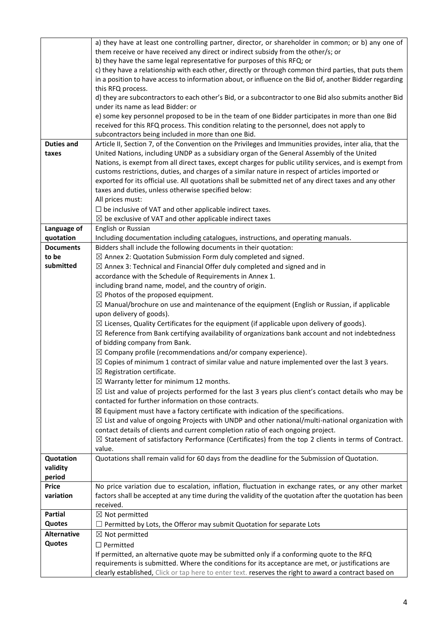|                           | a) they have at least one controlling partner, director, or shareholder in common; or b) any one of                                                                                                            |
|---------------------------|----------------------------------------------------------------------------------------------------------------------------------------------------------------------------------------------------------------|
|                           | them receive or have received any direct or indirect subsidy from the other/s; or                                                                                                                              |
|                           | b) they have the same legal representative for purposes of this RFQ; or                                                                                                                                        |
|                           | c) they have a relationship with each other, directly or through common third parties, that puts them                                                                                                          |
|                           | in a position to have access to information about, or influence on the Bid of, another Bidder regarding                                                                                                        |
|                           | this RFQ process.                                                                                                                                                                                              |
|                           | d) they are subcontractors to each other's Bid, or a subcontractor to one Bid also submits another Bid                                                                                                         |
|                           | under its name as lead Bidder: or                                                                                                                                                                              |
|                           | e) some key personnel proposed to be in the team of one Bidder participates in more than one Bid                                                                                                               |
|                           | received for this RFQ process. This condition relating to the personnel, does not apply to                                                                                                                     |
|                           | subcontractors being included in more than one Bid.                                                                                                                                                            |
| <b>Duties and</b>         | Article II, Section 7, of the Convention on the Privileges and Immunities provides, inter alia, that the                                                                                                       |
| taxes                     | United Nations, including UNDP as a subsidiary organ of the General Assembly of the United                                                                                                                     |
|                           | Nations, is exempt from all direct taxes, except charges for public utility services, and is exempt from                                                                                                       |
|                           | customs restrictions, duties, and charges of a similar nature in respect of articles imported or                                                                                                               |
|                           | exported for its official use. All quotations shall be submitted net of any direct taxes and any other                                                                                                         |
|                           | taxes and duties, unless otherwise specified below:                                                                                                                                                            |
|                           | All prices must:                                                                                                                                                                                               |
|                           | $\Box$ be inclusive of VAT and other applicable indirect taxes.                                                                                                                                                |
|                           | $\boxtimes$ be exclusive of VAT and other applicable indirect taxes                                                                                                                                            |
| Language of               | English or Russian                                                                                                                                                                                             |
| quotation                 | Including documentation including catalogues, instructions, and operating manuals.                                                                                                                             |
| <b>Documents</b>          | Bidders shall include the following documents in their quotation:                                                                                                                                              |
| to be                     | $\boxtimes$ Annex 2: Quotation Submission Form duly completed and signed.                                                                                                                                      |
| submitted                 | $\boxtimes$ Annex 3: Technical and Financial Offer duly completed and signed and in                                                                                                                            |
|                           | accordance with the Schedule of Requirements in Annex 1.                                                                                                                                                       |
|                           | including brand name, model, and the country of origin.                                                                                                                                                        |
|                           | $\boxtimes$ Photos of the proposed equipment.                                                                                                                                                                  |
|                           | $\boxtimes$ Manual/brochure on use and maintenance of the equipment (English or Russian, if applicable                                                                                                         |
|                           | upon delivery of goods).                                                                                                                                                                                       |
|                           | $\boxtimes$ Licenses, Quality Certificates for the equipment (if applicable upon delivery of goods).                                                                                                           |
|                           | $\boxtimes$ Reference from Bank certifying availability of organizations bank account and not indebtedness                                                                                                     |
|                           | of bidding company from Bank.                                                                                                                                                                                  |
|                           | $\boxtimes$ Company profile (recommendations and/or company experience).                                                                                                                                       |
|                           | $\boxtimes$ Copies of minimum 1 contract of similar value and nature implemented over the last 3 years.                                                                                                        |
|                           | $\boxtimes$ Registration certificate.                                                                                                                                                                          |
|                           | $\boxtimes$ Warranty letter for minimum 12 months.                                                                                                                                                             |
|                           | $\boxtimes$ List and value of projects performed for the last 3 years plus client's contact details who may be                                                                                                 |
|                           | contacted for further information on those contracts.                                                                                                                                                          |
|                           | $\boxtimes$ Equipment must have a factory certificate with indication of the specifications.                                                                                                                   |
|                           | $\boxtimes$ List and value of ongoing Projects with UNDP and other national/multi-national organization with                                                                                                   |
|                           | contact details of clients and current completion ratio of each ongoing project.                                                                                                                               |
|                           | $\boxtimes$ Statement of satisfactory Performance (Certificates) from the top 2 clients in terms of Contract.                                                                                                  |
|                           | value.                                                                                                                                                                                                         |
| Quotation                 | Quotations shall remain valid for 60 days from the deadline for the Submission of Quotation.                                                                                                                   |
| validity                  |                                                                                                                                                                                                                |
| period                    |                                                                                                                                                                                                                |
| <b>Price</b><br>variation | No price variation due to escalation, inflation, fluctuation in exchange rates, or any other market<br>factors shall be accepted at any time during the validity of the quotation after the quotation has been |
|                           | received.                                                                                                                                                                                                      |
| <b>Partial</b>            | $\boxtimes$ Not permitted                                                                                                                                                                                      |
| Quotes                    | $\Box$ Permitted by Lots, the Offeror may submit Quotation for separate Lots                                                                                                                                   |
| <b>Alternative</b>        | $\boxtimes$ Not permitted                                                                                                                                                                                      |
| Quotes                    | $\Box$ Permitted                                                                                                                                                                                               |
|                           | If permitted, an alternative quote may be submitted only if a conforming quote to the RFQ                                                                                                                      |
|                           | requirements is submitted. Where the conditions for its acceptance are met, or justifications are                                                                                                              |
|                           | clearly established, Click or tap here to enter text. reserves the right to award a contract based on                                                                                                          |
|                           |                                                                                                                                                                                                                |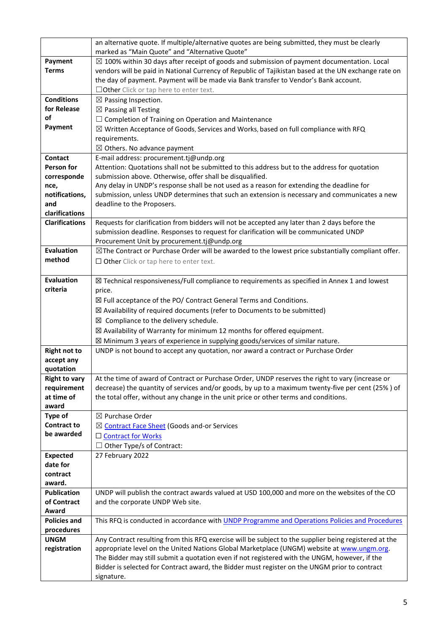|                       | an alternative quote. If multiple/alternative quotes are being submitted, they must be clearly<br>marked as "Main Quote" and "Alternative Quote" |
|-----------------------|--------------------------------------------------------------------------------------------------------------------------------------------------|
| Payment               | $\boxtimes$ 100% within 30 days after receipt of goods and submission of payment documentation. Local                                            |
| <b>Terms</b>          | vendors will be paid in National Currency of Republic of Tajikistan based at the UN exchange rate on                                             |
|                       | the day of payment. Payment will be made via Bank transfer to Vendor's Bank account.                                                             |
|                       | $\Box$ Other Click or tap here to enter text.                                                                                                    |
| <b>Conditions</b>     |                                                                                                                                                  |
| for Release           | $\boxtimes$ Passing Inspection.<br>$\boxtimes$ Passing all Testing                                                                               |
| οf                    | $\Box$ Completion of Training on Operation and Maintenance                                                                                       |
| Payment               | $\boxtimes$ Written Acceptance of Goods, Services and Works, based on full compliance with RFQ                                                   |
|                       | requirements.                                                                                                                                    |
|                       | $\boxtimes$ Others. No advance payment                                                                                                           |
| <b>Contact</b>        | E-mail address: procurement.tj@undp.org                                                                                                          |
| Person for            | Attention: Quotations shall not be submitted to this address but to the address for quotation                                                    |
| corresponde           | submission above. Otherwise, offer shall be disqualified.                                                                                        |
| nce,                  | Any delay in UNDP's response shall be not used as a reason for extending the deadline for                                                        |
| notifications,        | submission, unless UNDP determines that such an extension is necessary and communicates a new                                                    |
| and                   | deadline to the Proposers.                                                                                                                       |
| clarifications        |                                                                                                                                                  |
| <b>Clarifications</b> | Requests for clarification from bidders will not be accepted any later than 2 days before the                                                    |
|                       | submission deadline. Responses to request for clarification will be communicated UNDP                                                            |
|                       | Procurement Unit by procurement.tj@undp.org                                                                                                      |
| <b>Evaluation</b>     | $\boxtimes$ The Contract or Purchase Order will be awarded to the lowest price substantially compliant offer.                                    |
| method                | $\Box$ Other Click or tap here to enter text.                                                                                                    |
|                       |                                                                                                                                                  |
| <b>Evaluation</b>     | $\boxtimes$ Technical responsiveness/Full compliance to requirements as specified in Annex 1 and lowest                                          |
| criteria              | price.                                                                                                                                           |
|                       | $\boxtimes$ Full acceptance of the PO/ Contract General Terms and Conditions.                                                                    |
|                       | ⊠ Availability of required documents (refer to Documents to be submitted)                                                                        |
|                       | $\boxtimes$ Compliance to the delivery schedule.                                                                                                 |
|                       | $\boxtimes$ Availability of Warranty for minimum 12 months for offered equipment.                                                                |
|                       | $\boxtimes$ Minimum 3 years of experience in supplying goods/services of similar nature.                                                         |
| <b>Right not to</b>   | UNDP is not bound to accept any quotation, nor award a contract or Purchase Order                                                                |
| accept any            |                                                                                                                                                  |
| quotation             |                                                                                                                                                  |
| <b>Right to vary</b>  | At the time of award of Contract or Purchase Order, UNDP reserves the right to vary (increase or                                                 |
| requirement           | decrease) the quantity of services and/or goods, by up to a maximum twenty-five per cent (25%) of                                                |
| at time of<br>award   | the total offer, without any change in the unit price or other terms and conditions.                                                             |
| <b>Type of</b>        | ⊠ Purchase Order                                                                                                                                 |
| <b>Contract to</b>    | ⊠ Contract Face Sheet (Goods and-or Services                                                                                                     |
| be awarded            | □ Contract for Works                                                                                                                             |
|                       | Other Type/s of Contract:                                                                                                                        |
| <b>Expected</b>       | 27 February 2022                                                                                                                                 |
| date for              |                                                                                                                                                  |
| contract              |                                                                                                                                                  |
| award.                |                                                                                                                                                  |
| <b>Publication</b>    | UNDP will publish the contract awards valued at USD 100,000 and more on the websites of the CO                                                   |
| of Contract           | and the corporate UNDP Web site.                                                                                                                 |
| Award                 |                                                                                                                                                  |
| <b>Policies and</b>   | This RFQ is conducted in accordance with UNDP Programme and Operations Policies and Procedures                                                   |
| procedures            |                                                                                                                                                  |
| <b>UNGM</b>           | Any Contract resulting from this RFQ exercise will be subject to the supplier being registered at the                                            |
| registration          | appropriate level on the United Nations Global Marketplace (UNGM) website at www.ungm.org.                                                       |
|                       | The Bidder may still submit a quotation even if not registered with the UNGM, however, if the                                                    |
|                       | Bidder is selected for Contract award, the Bidder must register on the UNGM prior to contract                                                    |
|                       | signature.                                                                                                                                       |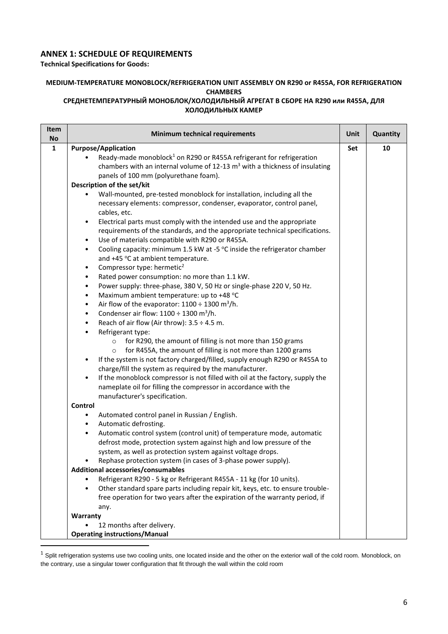## **ANNEX 1: SCHEDULE OF REQUIREMENTS**

**Technical Specifications for Goods:**

## **MEDIUM-TEMPERATURE MONOBLOCK/REFRIGERATION UNIT ASSEMBLY ON R290 or R455A, FOR REFRIGERATION CHAMBERS**

#### **СРЕДНЕТЕМПЕРАТУРНЫЙ МОНОБЛОК/ХОЛОДИЛЬНЫЙ АГРЕГАТ В СБОРЕ НА R290 или R455A, ДЛЯ ХОЛОДИЛЬНЫХ КАМЕР**

| Item<br>No   | Minimum technical requirements                                                                                                                                                                                                                                                                                                                                                                                                                                                                                                                                                                                                                                                                                                                                                                                                                                                                                                                                                                                                                                                                                                                                                                                                                                                                                                                                                                                                                                                                                                                                                                                                                                                                                                                                                                                                                                                                                                                                                                                                                                                                                                                                                                                                                                                                                               | Unit | Quantity |
|--------------|------------------------------------------------------------------------------------------------------------------------------------------------------------------------------------------------------------------------------------------------------------------------------------------------------------------------------------------------------------------------------------------------------------------------------------------------------------------------------------------------------------------------------------------------------------------------------------------------------------------------------------------------------------------------------------------------------------------------------------------------------------------------------------------------------------------------------------------------------------------------------------------------------------------------------------------------------------------------------------------------------------------------------------------------------------------------------------------------------------------------------------------------------------------------------------------------------------------------------------------------------------------------------------------------------------------------------------------------------------------------------------------------------------------------------------------------------------------------------------------------------------------------------------------------------------------------------------------------------------------------------------------------------------------------------------------------------------------------------------------------------------------------------------------------------------------------------------------------------------------------------------------------------------------------------------------------------------------------------------------------------------------------------------------------------------------------------------------------------------------------------------------------------------------------------------------------------------------------------------------------------------------------------------------------------------------------------|------|----------|
| $\mathbf{1}$ | <b>Purpose/Application</b><br>Ready-made monoblock <sup>1</sup> on R290 or R455A refrigerant for refrigeration<br>chambers with an internal volume of $12-13$ m <sup>3</sup> with a thickness of insulating<br>panels of 100 mm (polyurethane foam).                                                                                                                                                                                                                                                                                                                                                                                                                                                                                                                                                                                                                                                                                                                                                                                                                                                                                                                                                                                                                                                                                                                                                                                                                                                                                                                                                                                                                                                                                                                                                                                                                                                                                                                                                                                                                                                                                                                                                                                                                                                                         | Set  | 10       |
|              | Description of the set/kit<br>Wall-mounted, pre-tested monoblock for installation, including all the<br>necessary elements: compressor, condenser, evaporator, control panel,<br>cables, etc.<br>Electrical parts must comply with the intended use and the appropriate<br>$\bullet$<br>requirements of the standards, and the appropriate technical specifications.<br>Use of materials compatible with R290 or R455A.<br>$\bullet$<br>Cooling capacity: minimum 1.5 kW at -5 °C inside the refrigerator chamber<br>$\bullet$<br>and +45 °C at ambient temperature.<br>Compressor type: hermetic <sup>2</sup><br>$\bullet$<br>Rated power consumption: no more than 1.1 kW.<br>$\bullet$<br>Power supply: three-phase, 380 V, 50 Hz or single-phase 220 V, 50 Hz.<br>$\bullet$<br>Maximum ambient temperature: up to +48 °C<br>$\bullet$<br>Air flow of the evaporator: $1100 \div 1300$ m <sup>3</sup> /h.<br>$\bullet$<br>Condenser air flow: $1100 \div 1300$ m <sup>3</sup> /h.<br>$\bullet$<br>Reach of air flow (Air throw): $3.5 \div 4.5$ m.<br>$\bullet$<br>Refrigerant type:<br>$\bullet$<br>for R290, the amount of filling is not more than 150 grams<br>$\circ$<br>for R455A, the amount of filling is not more than 1200 grams<br>$\circ$<br>If the system is not factory charged/filled, supply enough R290 or R455A to<br>$\bullet$<br>charge/fill the system as required by the manufacturer.<br>If the monoblock compressor is not filled with oil at the factory, supply the<br>$\bullet$<br>nameplate oil for filling the compressor in accordance with the<br>manufacturer's specification.<br>Control<br>Automated control panel in Russian / English.<br>٠<br>Automatic defrosting.<br>$\bullet$<br>Automatic control system (control unit) of temperature mode, automatic<br>$\bullet$<br>defrost mode, protection system against high and low pressure of the<br>system, as well as protection system against voltage drops.<br>Rephase protection system (in cases of 3-phase power supply).<br>Additional accessories/consumables<br>Refrigerant R290 - 5 kg or Refrigerant R455A - 11 kg (for 10 units).<br>Other standard spare parts including repair kit, keys, etc. to ensure trouble-<br>$\bullet$<br>free operation for two years after the expiration of the warranty period, if<br>any. |      |          |
|              | Warranty<br>12 months after delivery.<br><b>Operating instructions/Manual</b>                                                                                                                                                                                                                                                                                                                                                                                                                                                                                                                                                                                                                                                                                                                                                                                                                                                                                                                                                                                                                                                                                                                                                                                                                                                                                                                                                                                                                                                                                                                                                                                                                                                                                                                                                                                                                                                                                                                                                                                                                                                                                                                                                                                                                                                |      |          |

 $1$  Split refrigeration systems use two cooling units, one located inside and the other on the exterior wall of the cold room. Monoblock, on the contrary, use a singular tower configuration that fit through the wall within the cold room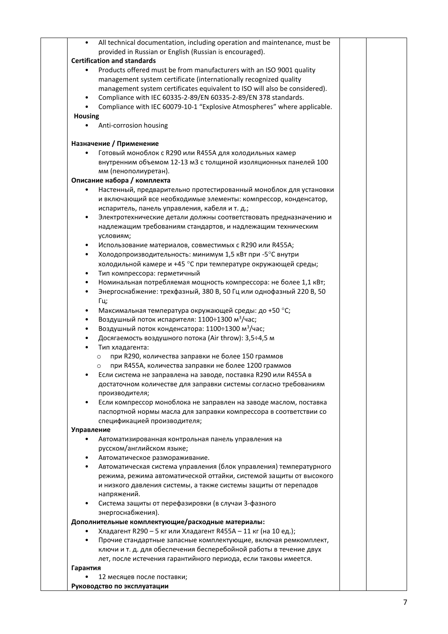| $\bullet$         | All technical documentation, including operation and maintenance, must be<br>provided in Russian or English (Russian is encouraged). |  |
|-------------------|--------------------------------------------------------------------------------------------------------------------------------------|--|
|                   | <b>Certification and standards</b>                                                                                                   |  |
|                   | Products offered must be from manufacturers with an ISO 9001 quality                                                                 |  |
|                   | management system certificate (internationally recognized quality                                                                    |  |
|                   | management system certificates equivalent to ISO will also be considered).                                                           |  |
|                   |                                                                                                                                      |  |
|                   | Compliance with IEC 60335-2-89/EN 60335-2-89/EN 378 standards.                                                                       |  |
|                   | Compliance with IEC 60079-10-1 "Explosive Atmospheres" where applicable.                                                             |  |
| <b>Housing</b>    | Anti-corrosion housing                                                                                                               |  |
|                   |                                                                                                                                      |  |
|                   | Назначение / Применение                                                                                                              |  |
|                   | Готовый моноблок с R290 или R455A для холодильных камер                                                                              |  |
|                   | внутренним объемом 12-13 м3 с толщиной изоляционных панелей 100                                                                      |  |
|                   | мм (пенополиуретан).                                                                                                                 |  |
|                   | Описание набора / комплекта                                                                                                          |  |
|                   | Настенный, предварительно протестированный моноблок для установки                                                                    |  |
|                   | и включающий все необходимые элементы: компрессор, конденсатор,                                                                      |  |
|                   | испаритель, панель управления, кабеля и т. д.;                                                                                       |  |
| $\bullet$         | Электротехнические детали должны соответствовать предназначению и                                                                    |  |
|                   | надлежащим требованиям стандартов, и надлежащим техническим                                                                          |  |
|                   | условиям;                                                                                                                            |  |
| $\bullet$         | Использование материалов, совместимых с R290 или R455A;                                                                              |  |
| $\bullet$         | Холодопроизводительность: минимум 1,5 кВт при -5°С внутри                                                                            |  |
|                   | холодильной камере и +45 °С при температуре окружающей среды;                                                                        |  |
| $\bullet$         | Тип компрессора: герметичный                                                                                                         |  |
| $\bullet$         | Номинальная потребляемая мощность компрессора: не более 1,1 кВт;                                                                     |  |
| $\bullet$         | Энергоснабжение: трехфазный, 380 В, 50 Гц или однофазный 220 В, 50                                                                   |  |
|                   |                                                                                                                                      |  |
|                   | Гц;                                                                                                                                  |  |
| ٠                 | Максимальная температура окружающей среды: до +50 °С;                                                                                |  |
| $\bullet$         | Воздушный поток испарителя: 1100÷1300 м <sup>3</sup> /час;                                                                           |  |
| $\bullet$         | Воздушный поток конденсатора: 1100÷1300 м <sup>3</sup> /час;                                                                         |  |
|                   | Досягаемость воздушного потока (Air throw): 3,5÷4,5 м                                                                                |  |
|                   | Тип хладагента:                                                                                                                      |  |
|                   | при R290, количества заправки не более 150 граммов<br>$\circ$                                                                        |  |
|                   | при R455A, количества заправки не более 1200 граммов<br>$\circ$                                                                      |  |
|                   | Если система не заправлена на заводе, поставка R290 или R455A в                                                                      |  |
|                   | достаточном количестве для заправки системы согласно требованиям                                                                     |  |
|                   | производителя;                                                                                                                       |  |
| $\bullet$         | Если компрессор моноблока не заправлен на заводе маслом, поставка                                                                    |  |
|                   | паспортной нормы масла для заправки компрессора в соответствии со                                                                    |  |
|                   | спецификацией производителя;                                                                                                         |  |
| <b>Управление</b> |                                                                                                                                      |  |
| $\bullet$         | Автоматизированная контрольная панель управления на                                                                                  |  |
|                   | русском/английском языке;                                                                                                            |  |
|                   | Автоматическое размораживание.                                                                                                       |  |
| $\bullet$         | Автоматическая система управления (блок управления) температурного                                                                   |  |
|                   | режима, режима автоматической оттайки, системой защиты от высокого                                                                   |  |
|                   | и низкого давления системы, а также системы защиты от перепадов                                                                      |  |
|                   | напряжений.                                                                                                                          |  |
|                   | Система защиты от перефазировки (в случаи 3-фазного                                                                                  |  |
|                   | энергоснабжения).                                                                                                                    |  |
|                   | Дополнительные комплектующие/расходные материалы:                                                                                    |  |
|                   | Хладагент R290 - 5 кг или Хладагент R455A - 11 кг (на 10 ед.);                                                                       |  |
| $\bullet$         | Прочие стандартные запасные комплектующие, включая ремкомплект,                                                                      |  |
|                   | ключи и т. д. для обеспечения бесперебойной работы в течение двух                                                                    |  |
|                   | лет, после истечения гарантийного периода, если таковы имеется.                                                                      |  |
| Гарантия          |                                                                                                                                      |  |
|                   |                                                                                                                                      |  |
|                   | 12 месяцев после поставки;                                                                                                           |  |
|                   | Руководство по эксплуатации                                                                                                          |  |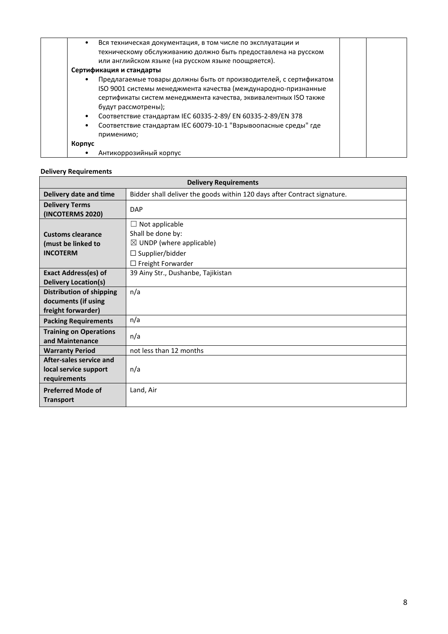| Вся техническая документация, в том числе по эксплуатации и<br>٠<br>техническому обслуживанию должно быть предоставлена на русском<br>или английском языке (на русском языке поощряется).                                                                                                                                                                                            |  |
|--------------------------------------------------------------------------------------------------------------------------------------------------------------------------------------------------------------------------------------------------------------------------------------------------------------------------------------------------------------------------------------|--|
| Сертификация и стандарты                                                                                                                                                                                                                                                                                                                                                             |  |
| Предлагаемые товары должны быть от производителей, с сертификатом<br>٠<br>ISO 9001 системы менеджмента качества (международно-признанные<br>сертификаты систем менеджмента качества, эквивалентных ISO также<br>будут рассмотрены);<br>Соответствие стандартам IEC 60335-2-89/EN 60335-2-89/EN 378<br>Соответствие стандартам IEC 60079-10-1 "Взрывоопасные среды" где<br>применимо; |  |
| Корпус                                                                                                                                                                                                                                                                                                                                                                               |  |
| Антикоррозийный корпус                                                                                                                                                                                                                                                                                                                                                               |  |

## **Delivery Requirements**

| <b>Delivery Requirements</b>                                                 |                                                                                                             |  |  |
|------------------------------------------------------------------------------|-------------------------------------------------------------------------------------------------------------|--|--|
| Delivery date and time                                                       | Bidder shall deliver the goods within 120 days after Contract signature.                                    |  |  |
| <b>Delivery Terms</b><br>(INCOTERMS 2020)                                    | <b>DAP</b>                                                                                                  |  |  |
| <b>Customs clearance</b><br>(must be linked to<br><b>INCOTERM</b>            | $\Box$ Not applicable<br>Shall be done by:<br>$\boxtimes$ UNDP (where applicable)<br>$\Box$ Supplier/bidder |  |  |
|                                                                              | $\Box$ Freight Forwarder                                                                                    |  |  |
| <b>Exact Address(es) of</b><br><b>Delivery Location(s)</b>                   | 39 Ainy Str., Dushanbe, Tajikistan                                                                          |  |  |
| <b>Distribution of shipping</b><br>documents (if using<br>freight forwarder) | n/a                                                                                                         |  |  |
| <b>Packing Requirements</b>                                                  | n/a                                                                                                         |  |  |
| <b>Training on Operations</b><br>and Maintenance                             | n/a                                                                                                         |  |  |
| <b>Warranty Period</b>                                                       | not less than 12 months                                                                                     |  |  |
| After-sales service and<br>local service support<br>requirements             | n/a                                                                                                         |  |  |
| <b>Preferred Mode of</b><br><b>Transport</b>                                 | Land, Air                                                                                                   |  |  |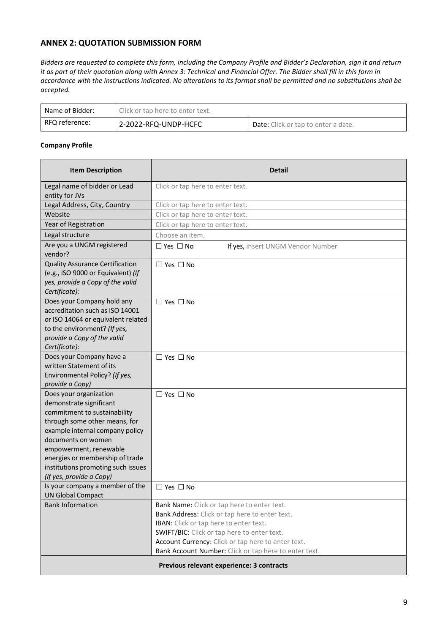## **ANNEX 2: QUOTATION SUBMISSION FORM**

*Bidders are requested to complete this form, including the Company Profile and Bidder's Declaration, sign it and return it as part of their quotation along with Annex 3: Technical and Financial Offer. The Bidder shall fill in this form in accordance with the instructions indicated. No alterations to its format shall be permitted and no substitutions shall be accepted.* 

| Name of Bidder: | Click or tap here to enter text. |                                            |  |
|-----------------|----------------------------------|--------------------------------------------|--|
| RFQ reference:  | 2-2022-RFQ-UNDP-HCFC             | <b>Date:</b> Click or tap to enter a date. |  |

#### **Company Profile**

| <b>Item Description</b>                                                                                                                                                                                                                                                                                    | Detail                                                                                                                                                                                                                                                                                                |
|------------------------------------------------------------------------------------------------------------------------------------------------------------------------------------------------------------------------------------------------------------------------------------------------------------|-------------------------------------------------------------------------------------------------------------------------------------------------------------------------------------------------------------------------------------------------------------------------------------------------------|
| Legal name of bidder or Lead<br>entity for JVs                                                                                                                                                                                                                                                             | Click or tap here to enter text.                                                                                                                                                                                                                                                                      |
| Legal Address, City, Country                                                                                                                                                                                                                                                                               | Click or tap here to enter text.                                                                                                                                                                                                                                                                      |
| Website                                                                                                                                                                                                                                                                                                    | Click or tap here to enter text.                                                                                                                                                                                                                                                                      |
| Year of Registration                                                                                                                                                                                                                                                                                       | Click or tap here to enter text.                                                                                                                                                                                                                                                                      |
| Legal structure                                                                                                                                                                                                                                                                                            | Choose an item.                                                                                                                                                                                                                                                                                       |
| Are you a UNGM registered<br>vendor?                                                                                                                                                                                                                                                                       | $\Box$ Yes $\Box$ No<br>If yes, insert UNGM Vendor Number                                                                                                                                                                                                                                             |
| <b>Quality Assurance Certification</b><br>(e.g., ISO 9000 or Equivalent) (If<br>yes, provide a Copy of the valid<br>Certificate):                                                                                                                                                                          | $\Box$ Yes $\Box$ No                                                                                                                                                                                                                                                                                  |
| Does your Company hold any<br>accreditation such as ISO 14001<br>or ISO 14064 or equivalent related<br>to the environment? (If yes,<br>provide a Copy of the valid<br>Certificate):                                                                                                                        | $\Box$ Yes $\Box$ No                                                                                                                                                                                                                                                                                  |
| Does your Company have a<br>written Statement of its<br>Environmental Policy? (If yes,<br>provide a Copy)                                                                                                                                                                                                  | $\Box$ Yes $\Box$ No                                                                                                                                                                                                                                                                                  |
| Does your organization<br>demonstrate significant<br>commitment to sustainability<br>through some other means, for<br>example internal company policy<br>documents on women<br>empowerment, renewable<br>energies or membership of trade<br>institutions promoting such issues<br>(If yes, provide a Copy) | $\Box$ Yes $\Box$ No                                                                                                                                                                                                                                                                                  |
| Is your company a member of the<br><b>UN Global Compact</b>                                                                                                                                                                                                                                                | $\Box$ Yes $\Box$ No                                                                                                                                                                                                                                                                                  |
| <b>Bank Information</b>                                                                                                                                                                                                                                                                                    | Bank Name: Click or tap here to enter text.<br>Bank Address: Click or tap here to enter text.<br>IBAN: Click or tap here to enter text.<br>SWIFT/BIC: Click or tap here to enter text.<br>Account Currency: Click or tap here to enter text.<br>Bank Account Number: Click or tap here to enter text. |
|                                                                                                                                                                                                                                                                                                            | Previous relevant experience: 3 contracts                                                                                                                                                                                                                                                             |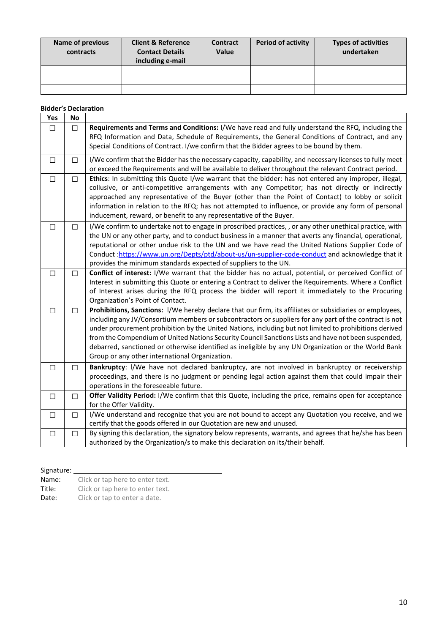| Name of previous<br>contracts | <b>Client &amp; Reference</b><br><b>Contact Details</b><br>including e-mail | <b>Contract</b><br><b>Value</b> | <b>Period of activity</b> | <b>Types of activities</b><br>undertaken |
|-------------------------------|-----------------------------------------------------------------------------|---------------------------------|---------------------------|------------------------------------------|
|                               |                                                                             |                                 |                           |                                          |
|                               |                                                                             |                                 |                           |                                          |
|                               |                                                                             |                                 |                           |                                          |

#### **Bidder's Declaration**

| Yes    | No     |                                                                                                                                                                                                                                                                                                                                                                                                                                                                                                                                                                                              |
|--------|--------|----------------------------------------------------------------------------------------------------------------------------------------------------------------------------------------------------------------------------------------------------------------------------------------------------------------------------------------------------------------------------------------------------------------------------------------------------------------------------------------------------------------------------------------------------------------------------------------------|
| $\Box$ | $\Box$ | Requirements and Terms and Conditions: I/We have read and fully understand the RFQ, including the<br>RFQ Information and Data, Schedule of Requirements, the General Conditions of Contract, and any<br>Special Conditions of Contract. I/we confirm that the Bidder agrees to be bound by them.                                                                                                                                                                                                                                                                                             |
| $\Box$ | □      | I/We confirm that the Bidder has the necessary capacity, capability, and necessary licenses to fully meet<br>or exceed the Requirements and will be available to deliver throughout the relevant Contract period.                                                                                                                                                                                                                                                                                                                                                                            |
| $\Box$ | □      | Ethics: In submitting this Quote I/we warrant that the bidder: has not entered any improper, illegal,<br>collusive, or anti-competitive arrangements with any Competitor; has not directly or indirectly<br>approached any representative of the Buyer (other than the Point of Contact) to lobby or solicit<br>information in relation to the RFQ; has not attempted to influence, or provide any form of personal<br>inducement, reward, or benefit to any representative of the Buyer.                                                                                                    |
| $\Box$ | □      | I/We confirm to undertake not to engage in proscribed practices, , or any other unethical practice, with<br>the UN or any other party, and to conduct business in a manner that averts any financial, operational,<br>reputational or other undue risk to the UN and we have read the United Nations Supplier Code of<br>Conduct:https://www.un.org/Depts/ptd/about-us/un-supplier-code-conduct and acknowledge that it<br>provides the minimum standards expected of suppliers to the UN.                                                                                                   |
| $\Box$ | $\Box$ | Conflict of interest: I/We warrant that the bidder has no actual, potential, or perceived Conflict of<br>Interest in submitting this Quote or entering a Contract to deliver the Requirements. Where a Conflict<br>of Interest arises during the RFQ process the bidder will report it immediately to the Procuring<br>Organization's Point of Contact.                                                                                                                                                                                                                                      |
| $\Box$ | $\Box$ | Prohibitions, Sanctions: I/We hereby declare that our firm, its affiliates or subsidiaries or employees,<br>including any JV/Consortium members or subcontractors or suppliers for any part of the contract is not<br>under procurement prohibition by the United Nations, including but not limited to prohibitions derived<br>from the Compendium of United Nations Security Council Sanctions Lists and have not been suspended,<br>debarred, sanctioned or otherwise identified as ineligible by any UN Organization or the World Bank<br>Group or any other international Organization. |
| $\Box$ | $\Box$ | Bankruptcy: I/We have not declared bankruptcy, are not involved in bankruptcy or receivership<br>proceedings, and there is no judgment or pending legal action against them that could impair their<br>operations in the foreseeable future.                                                                                                                                                                                                                                                                                                                                                 |
| $\Box$ | $\Box$ | Offer Validity Period: I/We confirm that this Quote, including the price, remains open for acceptance<br>for the Offer Validity.                                                                                                                                                                                                                                                                                                                                                                                                                                                             |
| $\Box$ | $\Box$ | I/We understand and recognize that you are not bound to accept any Quotation you receive, and we<br>certify that the goods offered in our Quotation are new and unused.                                                                                                                                                                                                                                                                                                                                                                                                                      |
| $\Box$ | $\Box$ | By signing this declaration, the signatory below represents, warrants, and agrees that he/she has been<br>authorized by the Organization/s to make this declaration on its/their behalf.                                                                                                                                                                                                                                                                                                                                                                                                     |

Signature: \_

Name: Click or tap here to enter text.<br>Title: Click or tap here to enter text.

Title: Click or tap here to enter text.<br>Date: Click or tap to enter a date.

Click or tap to enter a date.

┑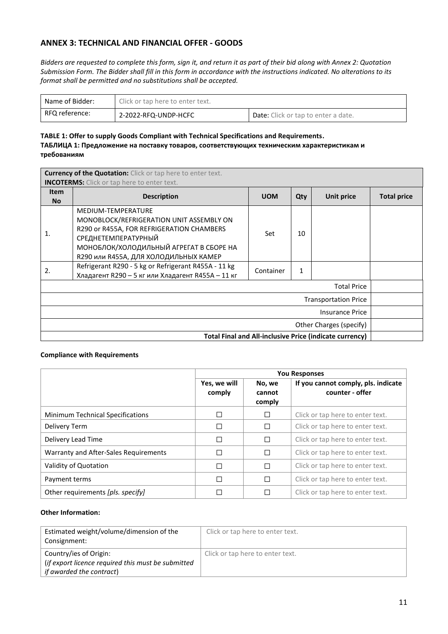## **ANNEX 3: TECHNICAL AND FINANCIAL OFFER - GOODS**

*Bidders are requested to complete this form, sign it, and return it as part of their bid along with Annex 2: Quotation Submission Form. The Bidder shall fill in this form in accordance with the instructions indicated. No alterations to its format shall be permitted and no substitutions shall be accepted.*

| Name of Bidder: | Click or tap here to enter text. |                                            |  |
|-----------------|----------------------------------|--------------------------------------------|--|
| RFQ reference:  | 2-2022-RFQ-UNDP-HCFC             | <b>Date:</b> Click or tap to enter a date. |  |

#### **TABLE 1: Offer to supply Goods Compliant with Technical Specifications and Requirements. ТАБЛИЦА 1: Предложение на поставку товаров, соответствующих техническим характеристикам и требованиям**

| <b>Currency of the Quotation:</b> Click or tap here to enter text.<br><b>INCOTERMS:</b> Click or tap here to enter text. |                                                                                                                                                                                                                                                                                                                                     |                  |         |            |                    |
|--------------------------------------------------------------------------------------------------------------------------|-------------------------------------------------------------------------------------------------------------------------------------------------------------------------------------------------------------------------------------------------------------------------------------------------------------------------------------|------------------|---------|------------|--------------------|
| <b>Item</b><br><b>No</b>                                                                                                 | <b>Description</b>                                                                                                                                                                                                                                                                                                                  | <b>UOM</b>       | Qty     | Unit price | <b>Total price</b> |
| $\mathbf{1}$<br>2.                                                                                                       | MEDIUM-TEMPERATURE<br>MONOBLOCK/REFRIGERATION UNIT ASSEMBLY ON<br>R290 or R455A, FOR REFRIGERATION CHAMBERS<br>СРЕДНЕТЕМПЕРАТУРНЫЙ<br>МОНОБЛОК/ХОЛОДИЛЬНЫЙ АГРЕГАТ В СБОРЕ НА<br>R290 или R455A, ДЛЯ ХОЛОДИЛЬНЫХ КАМЕР<br>Refrigerant R290 - 5 kg or Refrigerant R455A - 11 kg<br>Хладагент R290 - 5 кг или Хладагент R455A - 11 кг | Set<br>Container | 10<br>1 |            |                    |
| <b>Total Price</b>                                                                                                       |                                                                                                                                                                                                                                                                                                                                     |                  |         |            |                    |
| <b>Transportation Price</b>                                                                                              |                                                                                                                                                                                                                                                                                                                                     |                  |         |            |                    |
| Insurance Price                                                                                                          |                                                                                                                                                                                                                                                                                                                                     |                  |         |            |                    |
| Other Charges (specify)                                                                                                  |                                                                                                                                                                                                                                                                                                                                     |                  |         |            |                    |
| Total Final and All-inclusive Price (indicate currency)                                                                  |                                                                                                                                                                                                                                                                                                                                     |                  |         |            |                    |

#### **Compliance with Requirements**

|                                       | <b>You Responses</b>   |                            |                                                        |
|---------------------------------------|------------------------|----------------------------|--------------------------------------------------------|
|                                       | Yes, we will<br>comply | No, we<br>cannot<br>comply | If you cannot comply, pls. indicate<br>counter - offer |
| Minimum Technical Specifications      | □                      | □                          | Click or tap here to enter text.                       |
| Delivery Term                         | □                      | ⊔                          | Click or tap here to enter text.                       |
| Delivery Lead Time                    | □                      | □                          | Click or tap here to enter text.                       |
| Warranty and After-Sales Requirements | $\Box$                 | □                          | Click or tap here to enter text.                       |
| Validity of Quotation                 | П                      | □                          | Click or tap here to enter text.                       |
| Payment terms                         | П                      | П                          | Click or tap here to enter text.                       |
| Other requirements [pls. specify]     | □                      | □                          | Click or tap here to enter text.                       |

### **Other Information:**

| Estimated weight/volume/dimension of the<br>Consignment: | Click or tap here to enter text. |
|----------------------------------------------------------|----------------------------------|
| Country/ies of Origin:                                   | Click or tap here to enter text. |
| (if export licence required this must be submitted       |                                  |
| <i>if awarded the contract</i> )                         |                                  |